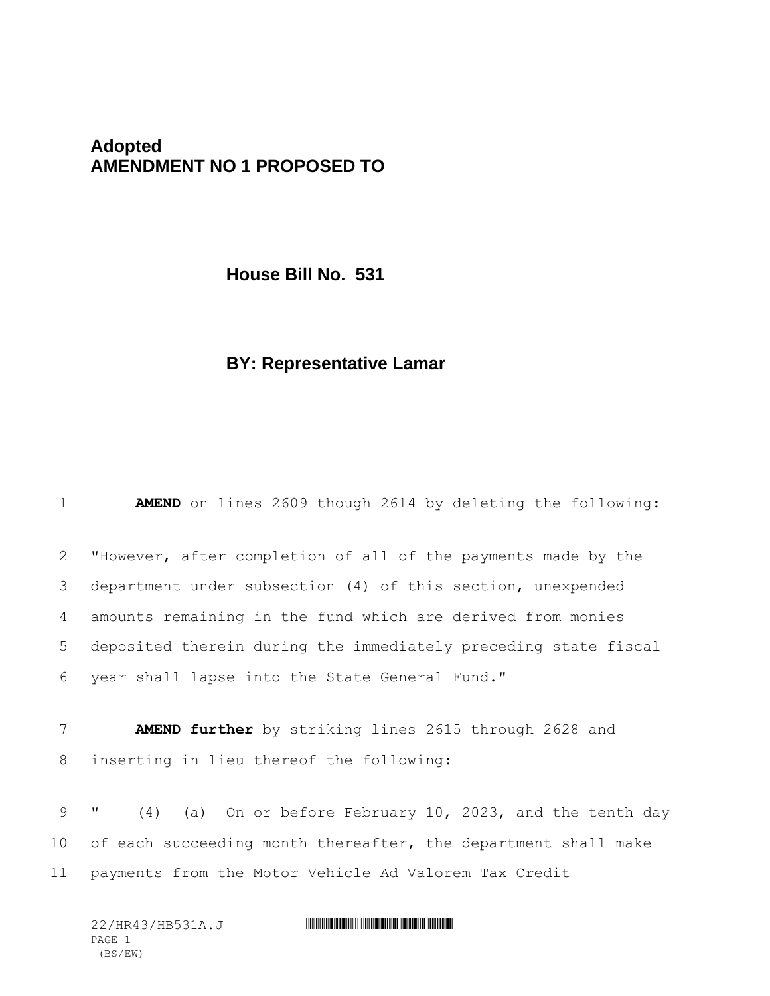## **Adopted AMENDMENT NO 1 PROPOSED TO**

**House Bill No. 531**

## **BY: Representative Lamar**

1 **AMEND** on lines 2609 though 2614 by deleting the following:

 "However, after completion of all of the payments made by the department under subsection (4) of this section, unexpended amounts remaining in the fund which are derived from monies deposited therein during the immediately preceding state fiscal year shall lapse into the State General Fund."

7 **AMEND further** by striking lines 2615 through 2628 and 8 inserting in lieu thereof the following:

9 " (4) (a) On or before February 10, 2023, and the tenth day 10 of each succeeding month thereafter, the department shall make 11 payments from the Motor Vehicle Ad Valorem Tax Credit

22/HR43/HB531A.J \*HR43/HB531A.J\* PAGE 1 (BS/EW)